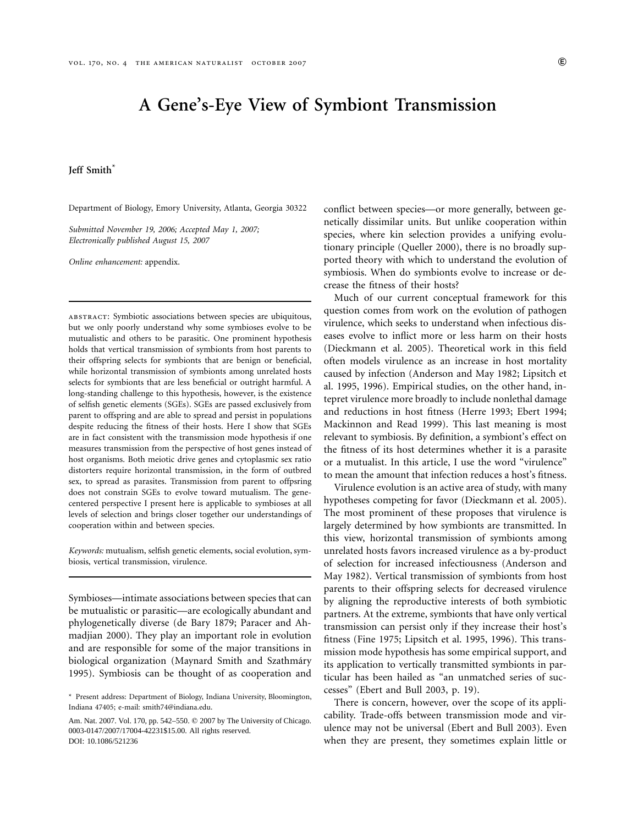# **A Gene's-Eye View of Symbiont Transmission**

**Jeff Smith**\*

Department of Biology, Emory University, Atlanta, Georgia 30322

*Submitted November 19, 2006; Accepted May 1, 2007; Electronically published August 15, 2007*

*Online enhancement:* appendix.

abstract: Symbiotic associations between species are ubiquitous, but we only poorly understand why some symbioses evolve to be mutualistic and others to be parasitic. One prominent hypothesis holds that vertical transmission of symbionts from host parents to their offspring selects for symbionts that are benign or beneficial, while horizontal transmission of symbionts among unrelated hosts selects for symbionts that are less beneficial or outright harmful. A long-standing challenge to this hypothesis, however, is the existence of selfish genetic elements (SGEs). SGEs are passed exclusively from parent to offspring and are able to spread and persist in populations despite reducing the fitness of their hosts. Here I show that SGEs are in fact consistent with the transmission mode hypothesis if one measures transmission from the perspective of host genes instead of host organisms. Both meiotic drive genes and cytoplasmic sex ratio distorters require horizontal transmission, in the form of outbred sex, to spread as parasites. Transmission from parent to offpsring does not constrain SGEs to evolve toward mutualism. The genecentered perspective I present here is applicable to symbioses at all levels of selection and brings closer together our understandings of cooperation within and between species.

*Keywords:* mutualism, selfish genetic elements, social evolution, symbiosis, vertical transmission, virulence.

Symbioses—intimate associations between species that can be mutualistic or parasitic—are ecologically abundant and phylogenetically diverse (de Bary 1879; Paracer and Ahmadjian 2000). They play an important role in evolution and are responsible for some of the major transitions in biological organization (Maynard Smith and Szathmáry 1995). Symbiosis can be thought of as cooperation and conflict between species—or more generally, between genetically dissimilar units. But unlike cooperation within species, where kin selection provides a unifying evolutionary principle (Queller 2000), there is no broadly supported theory with which to understand the evolution of symbiosis. When do symbionts evolve to increase or decrease the fitness of their hosts?

Much of our current conceptual framework for this question comes from work on the evolution of pathogen virulence, which seeks to understand when infectious diseases evolve to inflict more or less harm on their hosts (Dieckmann et al. 2005). Theoretical work in this field often models virulence as an increase in host mortality caused by infection (Anderson and May 1982; Lipsitch et al. 1995, 1996). Empirical studies, on the other hand, intepret virulence more broadly to include nonlethal damage and reductions in host fitness (Herre 1993; Ebert 1994; Mackinnon and Read 1999). This last meaning is most relevant to symbiosis. By definition, a symbiont's effect on the fitness of its host determines whether it is a parasite or a mutualist. In this article, I use the word "virulence" to mean the amount that infection reduces a host's fitness.

Virulence evolution is an active area of study, with many hypotheses competing for favor (Dieckmann et al. 2005). The most prominent of these proposes that virulence is largely determined by how symbionts are transmitted. In this view, horizontal transmission of symbionts among unrelated hosts favors increased virulence as a by-product of selection for increased infectiousness (Anderson and May 1982). Vertical transmission of symbionts from host parents to their offspring selects for decreased virulence by aligning the reproductive interests of both symbiotic partners. At the extreme, symbionts that have only vertical transmission can persist only if they increase their host's fitness (Fine 1975; Lipsitch et al. 1995, 1996). This transmission mode hypothesis has some empirical support, and its application to vertically transmitted symbionts in particular has been hailed as "an unmatched series of successes" (Ebert and Bull 2003, p. 19).

There is concern, however, over the scope of its applicability. Trade-offs between transmission mode and virulence may not be universal (Ebert and Bull 2003). Even when they are present, they sometimes explain little or

<sup>\*</sup> Present address: Department of Biology, Indiana University, Bloomington, Indiana 47405; e-mail: smith74@indiana.edu.

Am. Nat. 2007. Vol. 170, pp. 542–550.  $\odot$  2007 by The University of Chicago. 0003-0147/2007/17004-42231\$15.00. All rights reserved. DOI: 10.1086/521236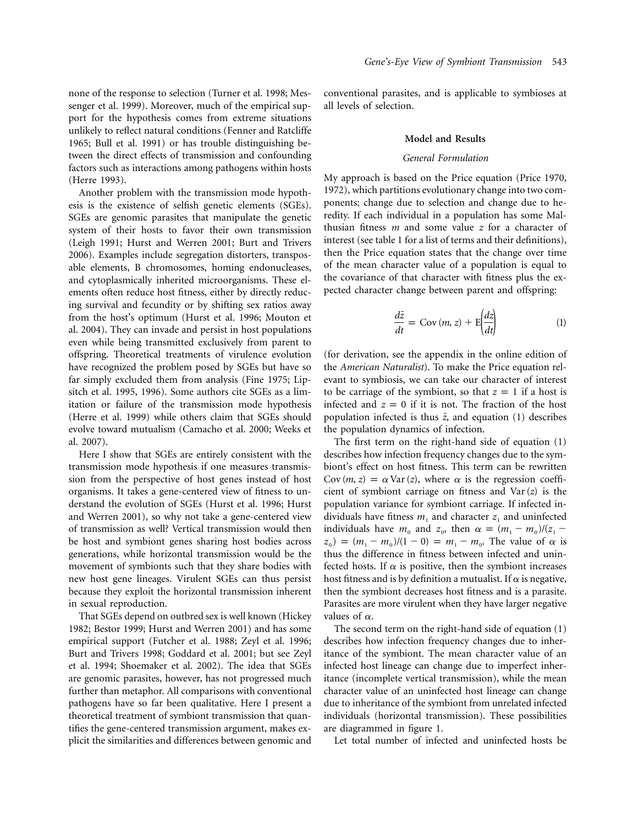none of the response to selection (Turner et al. 1998; Messenger et al. 1999). Moreover, much of the empirical support for the hypothesis comes from extreme situations unlikely to reflect natural conditions (Fenner and Ratcliffe 1965; Bull et al. 1991) or has trouble distinguishing between the direct effects of transmission and confounding factors such as interactions among pathogens within hosts (Herre 1993).

Another problem with the transmission mode hypothesis is the existence of selfish genetic elements (SGEs). SGEs are genomic parasites that manipulate the genetic system of their hosts to favor their own transmission (Leigh 1991; Hurst and Werren 2001; Burt and Trivers 2006). Examples include segregation distorters, transposable elements, B chromosomes, homing endonucleases, and cytoplasmically inherited microorganisms. These elements often reduce host fitness, either by directly reducing survival and fecundity or by shifting sex ratios away from the host's optimum (Hurst et al. 1996; Mouton et al. 2004). They can invade and persist in host populations even while being transmitted exclusively from parent to offspring. Theoretical treatments of virulence evolution have recognized the problem posed by SGEs but have so far simply excluded them from analysis (Fine 1975; Lipsitch et al. 1995, 1996). Some authors cite SGEs as a limitation or failure of the transmission mode hypothesis (Herre et al. 1999) while others claim that SGEs should evolve toward mutualism (Camacho et al. 2000; Weeks et al. 2007).

Here I show that SGEs are entirely consistent with the transmission mode hypothesis if one measures transmission from the perspective of host genes instead of host organisms. It takes a gene-centered view of fitness to understand the evolution of SGEs (Hurst et al. 1996; Hurst and Werren 2001), so why not take a gene-centered view of transmission as well? Vertical transmission would then be host and symbiont genes sharing host bodies across generations, while horizontal transmission would be the movement of symbionts such that they share bodies with new host gene lineages. Virulent SGEs can thus persist because they exploit the horizontal transmission inherent in sexual reproduction.

That SGEs depend on outbred sex is well known (Hickey 1982; Bestor 1999; Hurst and Werren 2001) and has some empirical support (Futcher et al. 1988; Zeyl et al. 1996; Burt and Trivers 1998; Goddard et al. 2001; but see Zeyl et al. 1994; Shoemaker et al. 2002). The idea that SGEs are genomic parasites, however, has not progressed much further than metaphor. All comparisons with conventional pathogens have so far been qualitative. Here I present a theoretical treatment of symbiont transmission that quantifies the gene-centered transmission argument, makes explicit the similarities and differences between genomic and conventional parasites, and is applicable to symbioses at all levels of selection.

#### **Model and Results**

#### *General Formulation*

My approach is based on the Price equation (Price 1970, 1972), which partitions evolutionary change into two components: change due to selection and change due to heredity. If each individual in a population has some Malthusian fitness *m* and some value *z* for a character of interest (see table 1 for a list of terms and their definitions), then the Price equation states that the change over time of the mean character value of a population is equal to the covariance of that character with fitness plus the expected character change between parent and offspring:

$$
\frac{d\bar{z}}{dt} = \text{Cov}(m, z) + \text{E}\left(\frac{dz}{dt}\right) \tag{1}
$$

(for derivation, see the appendix in the online edition of the *American Naturalist*). To make the Price equation relevant to symbiosis, we can take our character of interest to be carriage of the symbiont, so that  $z = 1$  if a host is infected and  $z = 0$  if it is not. The fraction of the host population infected is thus  $\bar{z}$ , and equation (1) describes the population dynamics of infection.

The first term on the right-hand side of equation (1) describes how infection frequency changes due to the symbiont's effect on host fitness. This term can be rewritten Cov  $(m, z) = \alpha \text{Var}(z)$ , where  $\alpha$  is the regression coefficient of symbiont carriage on fitness and  $Var(z)$  is the population variance for symbiont carriage. If infected individuals have fitness  $m_1$  and character  $z_1$  and uninfected individuals have  $m_0$  and  $z_0$ , then  $\alpha = (m_1 - m_0)/(z_1 - \alpha)$  $z_0$  =  $(m_1 - m_0)/(1 - 0) = m_1 - m_0$ . The value of  $\alpha$  is thus the difference in fitness between infected and uninfected hosts. If  $\alpha$  is positive, then the symbiont increases host fitness and is by definition a mutualist. If  $\alpha$  is negative, then the symbiont decreases host fitness and is a parasite. Parasites are more virulent when they have larger negative values of  $\alpha$ .

The second term on the right-hand side of equation (1) describes how infection frequency changes due to inheritance of the symbiont. The mean character value of an infected host lineage can change due to imperfect inheritance (incomplete vertical transmission), while the mean character value of an uninfected host lineage can change due to inheritance of the symbiont from unrelated infected individuals (horizontal transmission). These possibilities are diagrammed in figure 1.

Let total number of infected and uninfected hosts be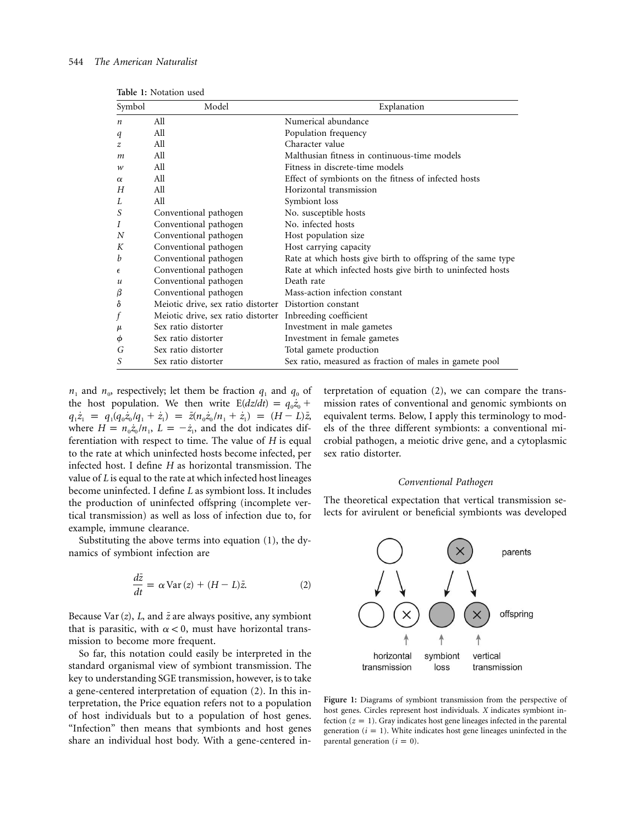| Symbol           | Model                                                     | Explanation                                                  |
|------------------|-----------------------------------------------------------|--------------------------------------------------------------|
| $\boldsymbol{n}$ | All                                                       | Numerical abundance                                          |
| q                | All                                                       | Population frequency                                         |
| z                | All                                                       | Character value                                              |
| $\boldsymbol{m}$ | All                                                       | Malthusian fitness in continuous-time models                 |
| W                | All                                                       | Fitness in discrete-time models                              |
| $\alpha$         | All                                                       | Effect of symbionts on the fitness of infected hosts         |
| Н                | All                                                       | Horizontal transmission                                      |
| L                | All                                                       | Symbiont loss                                                |
| S                | Conventional pathogen                                     | No. susceptible hosts                                        |
| Ι                | Conventional pathogen                                     | No. infected hosts                                           |
| Ν                | Conventional pathogen                                     | Host population size                                         |
| K                | Conventional pathogen                                     | Host carrying capacity                                       |
| b                | Conventional pathogen                                     | Rate at which hosts give birth to offspring of the same type |
| $\epsilon$       | Conventional pathogen                                     | Rate at which infected hosts give birth to uninfected hosts  |
| $\boldsymbol{u}$ | Conventional pathogen                                     | Death rate                                                   |
| β                | Conventional pathogen                                     | Mass-action infection constant                               |
| δ                | Meiotic drive, sex ratio distorter Distortion constant    |                                                              |
| f                | Meiotic drive, sex ratio distorter Inbreeding coefficient |                                                              |
| μ                | Sex ratio distorter                                       | Investment in male gametes                                   |
| φ                | Sex ratio distorter                                       | Investment in female gametes                                 |
| G                | Sex ratio distorter                                       | Total gamete production                                      |
| S                | Sex ratio distorter                                       | Sex ratio, measured as fraction of males in gamete pool      |

**Table 1:** Notation used

 $n_1$  and  $n_0$ , respectively; let them be fraction  $q_1$  and  $q_0$  of the host population. We then write  $E(dz/dt) = q_0 \dot{z}_0 +$  $q_1 \dot{z}_1 = q_1 (q_0 \dot{z}_0 / q_1 + \dot{z}_1) = \dot{z} (n_0 \dot{z}_0 / n_1 + \dot{z}_1) = (H - L) \dot{z},$ where  $H = n_0 \dot{z}_0 / n_1$ ,  $L = -\dot{z}_1$ , and the dot indicates differentiation with respect to time. The value of *H* is equal to the rate at which uninfected hosts become infected, per infected host. I define *H* as horizontal transmission. The value of *L* is equal to the rate at which infected host lineages become uninfected. I define *L* as symbiont loss. It includes the production of uninfected offspring (incomplete vertical transmission) as well as loss of infection due to, for example, immune clearance.

Substituting the above terms into equation (1), the dynamics of symbiont infection are

$$
\frac{d\bar{z}}{dt} = \alpha \operatorname{Var}\left(z\right) + (H - L)\bar{z}.\tag{2}
$$

Because Var  $(z)$ , *L*, and  $\overline{z}$  are always positive, any symbiont that is parasitic, with  $\alpha$  < 0, must have horizontal transmission to become more frequent.

So far, this notation could easily be interpreted in the standard organismal view of symbiont transmission. The key to understanding SGE transmission, however, is to take a gene-centered interpretation of equation (2). In this interpretation, the Price equation refers not to a population of host individuals but to a population of host genes. "Infection" then means that symbionts and host genes share an individual host body. With a gene-centered interpretation of equation (2), we can compare the transmission rates of conventional and genomic symbionts on equivalent terms. Below, I apply this terminology to models of the three different symbionts: a conventional microbial pathogen, a meiotic drive gene, and a cytoplasmic sex ratio distorter.

#### *Conventional Pathogen*

The theoretical expectation that vertical transmission selects for avirulent or beneficial symbionts was developed



**Figure 1:** Diagrams of symbiont transmission from the perspective of host genes. Circles represent host individuals. *X* indicates symbiont infection  $(z = 1)$ . Gray indicates host gene lineages infected in the parental generation  $(i = 1)$ . White indicates host gene lineages uninfected in the parental generation ( $i = 0$ ).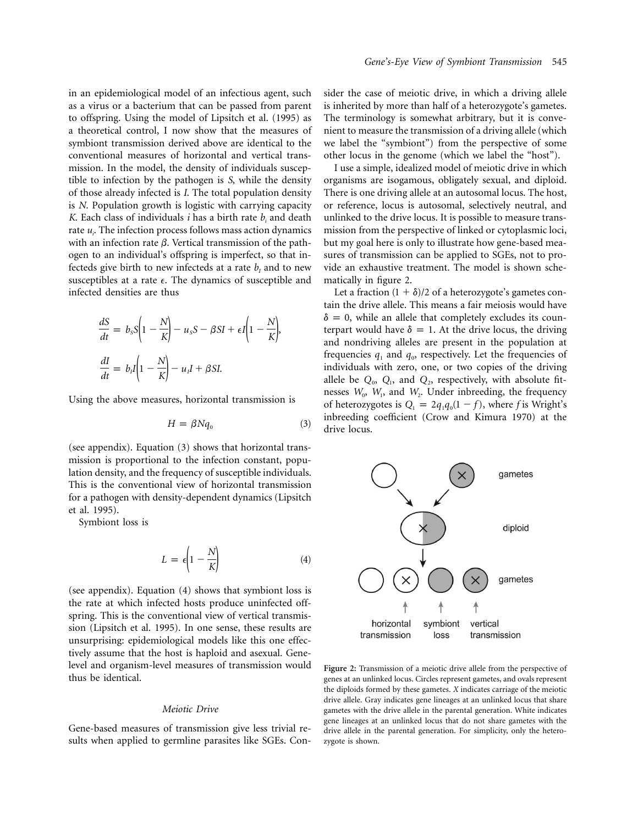in an epidemiological model of an infectious agent, such as a virus or a bacterium that can be passed from parent to offspring. Using the model of Lipsitch et al. (1995) as a theoretical control, I now show that the measures of symbiont transmission derived above are identical to the conventional measures of horizontal and vertical transmission. In the model, the density of individuals susceptible to infection by the pathogen is *S*, while the density of those already infected is *I*. The total population density is *N*. Population growth is logistic with carrying capacity *K*. Each class of individuals *i* has a birth rate  $b_i$  and death rate  $u_i$ . The infection process follows mass action dynamics with an infection rate  $\beta$ . Vertical transmission of the pathogen to an individual's offspring is imperfect, so that infecteds give birth to new infecteds at a rate  $b<sub>I</sub>$  and to new susceptibles at a rate  $\epsilon$ . The dynamics of susceptible and infected densities are thus

$$
\frac{dS}{dt} = b_S S \left( 1 - \frac{N}{K} \right) - u_S S - \beta S I + \epsilon I \left( 1 - \frac{N}{K} \right),
$$
  

$$
\frac{dI}{dt} = b_I I \left( 1 - \frac{N}{K} \right) - u_I I + \beta S I.
$$

Using the above measures, horizontal transmission is

$$
H = \beta N q_0 \tag{3}
$$

(see appendix). Equation (3) shows that horizontal transmission is proportional to the infection constant, population density, and the frequency of susceptible individuals. This is the conventional view of horizontal transmission for a pathogen with density-dependent dynamics (Lipsitch et al. 1995).

Symbiont loss is

$$
L = \epsilon \left( 1 - \frac{N}{K} \right) \tag{4}
$$

(see appendix). Equation (4) shows that symbiont loss is the rate at which infected hosts produce uninfected offspring. This is the conventional view of vertical transmission (Lipsitch et al. 1995). In one sense, these results are unsurprising: epidemiological models like this one effectively assume that the host is haploid and asexual. Genelevel and organism-level measures of transmission would thus be identical.

#### *Meiotic Drive*

Gene-based measures of transmission give less trivial results when applied to germline parasites like SGEs. Consider the case of meiotic drive, in which a driving allele is inherited by more than half of a heterozygote's gametes. The terminology is somewhat arbitrary, but it is convenient to measure the transmission of a driving allele (which we label the "symbiont") from the perspective of some other locus in the genome (which we label the "host").

I use a simple, idealized model of meiotic drive in which organisms are isogamous, obligately sexual, and diploid. There is one driving allele at an autosomal locus. The host, or reference, locus is autosomal, selectively neutral, and unlinked to the drive locus. It is possible to measure transmission from the perspective of linked or cytoplasmic loci, but my goal here is only to illustrate how gene-based measures of transmission can be applied to SGEs, not to provide an exhaustive treatment. The model is shown schematically in figure 2.

Let a fraction  $(1 + \delta)/2$  of a heterozygote's gametes contain the drive allele. This means a fair meiosis would have  $\delta = 0$ , while an allele that completely excludes its counterpart would have  $\delta = 1$ . At the drive locus, the driving and nondriving alleles are present in the population at frequencies  $q_1$  and  $q_0$ , respectively. Let the frequencies of individuals with zero, one, or two copies of the driving allele be  $Q_0$ ,  $Q_1$ , and  $Q_2$ , respectively, with absolute fitnesses  $W_0$ ,  $W_1$ , and  $W_2$ . Under inbreeding, the frequency of heterozygotes is  $Q_1 = 2q_1q_0(1 - f)$ , where *f* is Wright's inbreeding coefficient (Crow and Kimura 1970) at the drive locus.



**Figure 2:** Transmission of a meiotic drive allele from the perspective of genes at an unlinked locus. Circles represent gametes, and ovals represent the diploids formed by these gametes. *X* indicates carriage of the meiotic drive allele. Gray indicates gene lineages at an unlinked locus that share gametes with the drive allele in the parental generation. White indicates gene lineages at an unlinked locus that do not share gametes with the drive allele in the parental generation. For simplicity, only the heterozygote is shown.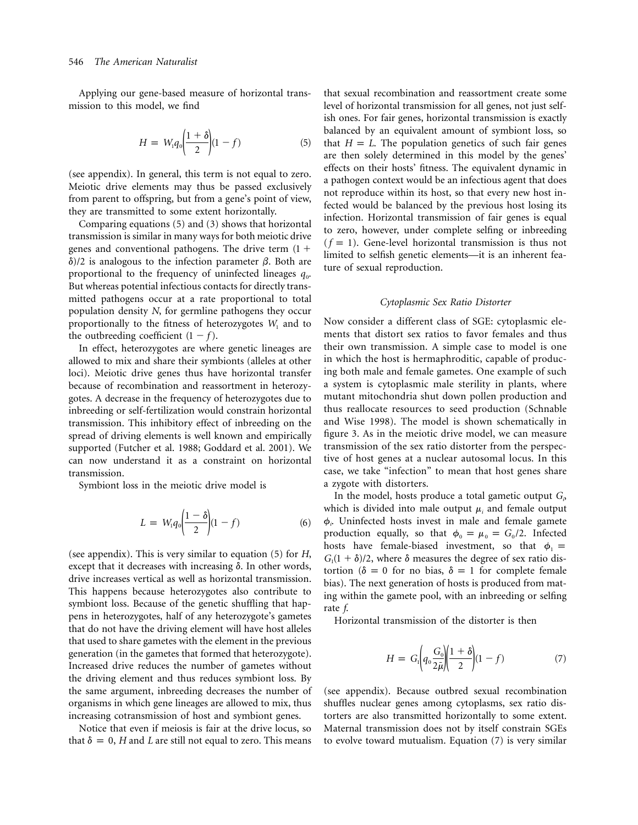Applying our gene-based measure of horizontal transmission to this model, we find

$$
H = W_1 q_0 \left(\frac{1+\delta}{2}\right) (1-f) \tag{5}
$$

(see appendix). In general, this term is not equal to zero. Meiotic drive elements may thus be passed exclusively from parent to offspring, but from a gene's point of view, they are transmitted to some extent horizontally.

Comparing equations (5) and (3) shows that horizontal transmission is similar in many ways for both meiotic drive genes and conventional pathogens. The drive term  $(1 +$  $\delta$ /2 is analogous to the infection parameter  $\beta$ . Both are proportional to the frequency of uninfected lineages  $q_0$ . But whereas potential infectious contacts for directly transmitted pathogens occur at a rate proportional to total population density *N*, for germline pathogens they occur proportionally to the fitness of heterozygotes  $W_1$  and to the outbreeding coefficient  $(1 - f)$ .

In effect, heterozygotes are where genetic lineages are allowed to mix and share their symbionts (alleles at other loci). Meiotic drive genes thus have horizontal transfer because of recombination and reassortment in heterozygotes. A decrease in the frequency of heterozygotes due to inbreeding or self-fertilization would constrain horizontal transmission. This inhibitory effect of inbreeding on the spread of driving elements is well known and empirically supported (Futcher et al. 1988; Goddard et al. 2001). We can now understand it as a constraint on horizontal transmission.

Symbiont loss in the meiotic drive model is

$$
L = W_1 q_0 \left(\frac{1-\delta}{2}\right) (1-f) \tag{6}
$$

(see appendix). This is very similar to equation (5) for *H*, except that it decreases with increasing  $\delta$ . In other words, drive increases vertical as well as horizontal transmission. This happens because heterozygotes also contribute to symbiont loss. Because of the genetic shuffling that happens in heterozygotes, half of any heterozygote's gametes that do not have the driving element will have host alleles that used to share gametes with the element in the previous generation (in the gametes that formed that heterozygote). Increased drive reduces the number of gametes without the driving element and thus reduces symbiont loss. By the same argument, inbreeding decreases the number of organisms in which gene lineages are allowed to mix, thus increasing cotransmission of host and symbiont genes.

Notice that even if meiosis is fair at the drive locus, so that  $\delta = 0$ , *H* and *L* are still not equal to zero. This means

that sexual recombination and reassortment create some level of horizontal transmission for all genes, not just selfish ones. For fair genes, horizontal transmission is exactly balanced by an equivalent amount of symbiont loss, so that  $H = L$ . The population genetics of such fair genes are then solely determined in this model by the genes' effects on their hosts' fitness. The equivalent dynamic in a pathogen context would be an infectious agent that does not reproduce within its host, so that every new host infected would be balanced by the previous host losing its infection. Horizontal transmission of fair genes is equal to zero, however, under complete selfing or inbreeding  $(f = 1)$ . Gene-level horizontal transmission is thus not limited to selfish genetic elements—it is an inherent feature of sexual reproduction.

#### *Cytoplasmic Sex Ratio Distorter*

Now consider a different class of SGE: cytoplasmic elements that distort sex ratios to favor females and thus their own transmission. A simple case to model is one in which the host is hermaphroditic, capable of producing both male and female gametes. One example of such a system is cytoplasmic male sterility in plants, where mutant mitochondria shut down pollen production and thus reallocate resources to seed production (Schnable and Wise 1998). The model is shown schematically in figure 3. As in the meiotic drive model, we can measure transmission of the sex ratio distorter from the perspective of host genes at a nuclear autosomal locus. In this case, we take "infection" to mean that host genes share a zygote with distorters.

In the model, hosts produce a total gametic output  $G_i$ , which is divided into male output  $\mu_i$  and female output  $\phi$ . Uninfected hosts invest in male and female gamete production equally, so that  $\phi_0 = \mu_0 = G_0/2$ . Infected hosts have female-biased investment, so that  $\phi_1$  =  $G_1(1 + \delta)/2$ , where  $\delta$  measures the degree of sex ratio distortion ( $\delta = 0$  for no bias,  $\delta = 1$  for complete female bias). The next generation of hosts is produced from mating within the gamete pool, with an inbreeding or selfing rate *f*.

Horizontal transmission of the distorter is then

$$
H = G_1 \bigg( q_0 \frac{G_0}{2\bar{\mu}} \bigg) \bigg( 1 + \delta \bigg) (1 - f) \tag{7}
$$

(see appendix). Because outbred sexual recombination shuffles nuclear genes among cytoplasms, sex ratio distorters are also transmitted horizontally to some extent. Maternal transmission does not by itself constrain SGEs to evolve toward mutualism. Equation (7) is very similar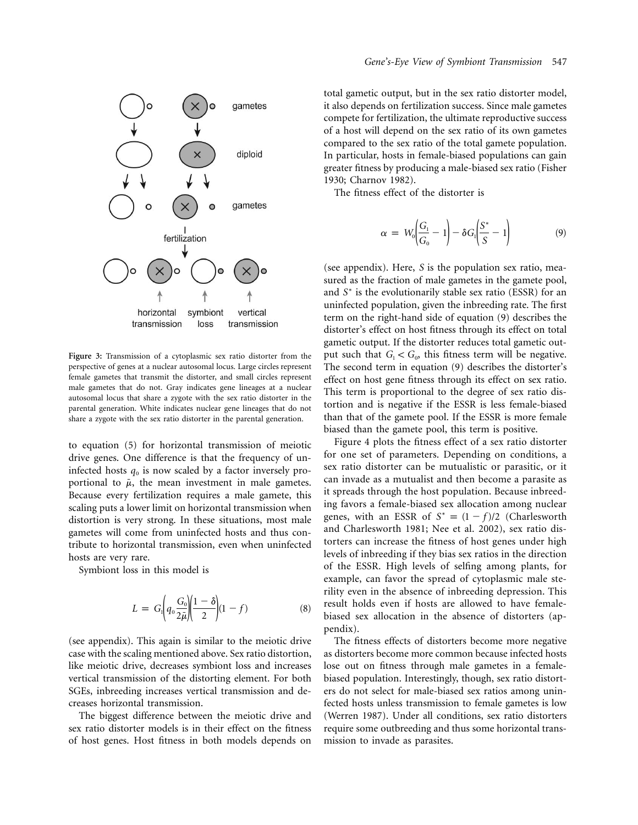

**Figure 3:** Transmission of a cytoplasmic sex ratio distorter from the perspective of genes at a nuclear autosomal locus. Large circles represent female gametes that transmit the distorter, and small circles represent male gametes that do not. Gray indicates gene lineages at a nuclear autosomal locus that share a zygote with the sex ratio distorter in the parental generation. White indicates nuclear gene lineages that do not share a zygote with the sex ratio distorter in the parental generation.

to equation (5) for horizontal transmission of meiotic drive genes. One difference is that the frequency of uninfected hosts  $q_0$  is now scaled by a factor inversely proportional to  $\bar{\mu}$ , the mean investment in male gametes. Because every fertilization requires a male gamete, this scaling puts a lower limit on horizontal transmission when distortion is very strong. In these situations, most male gametes will come from uninfected hosts and thus contribute to horizontal transmission, even when uninfected hosts are very rare.

Symbiont loss in this model is

$$
L = G_1 \left( q_0 \frac{G_0}{2\bar{\mu}} \right) \left( \frac{1-\delta}{2} \right) (1-f) \tag{8}
$$

(see appendix). This again is similar to the meiotic drive case with the scaling mentioned above. Sex ratio distortion, like meiotic drive, decreases symbiont loss and increases vertical transmission of the distorting element. For both SGEs, inbreeding increases vertical transmission and decreases horizontal transmission.

The biggest difference between the meiotic drive and sex ratio distorter models is in their effect on the fitness of host genes. Host fitness in both models depends on

total gametic output, but in the sex ratio distorter model, it also depends on fertilization success. Since male gametes compete for fertilization, the ultimate reproductive success of a host will depend on the sex ratio of its own gametes compared to the sex ratio of the total gamete population. In particular, hosts in female-biased populations can gain greater fitness by producing a male-biased sex ratio (Fisher 1930; Charnov 1982).

The fitness effect of the distorter is

$$
\alpha = W_0 \bigg( \frac{G_1}{G_0} - 1 \bigg) - \delta G_1 \bigg( \frac{S^*}{S} - 1 \bigg) \tag{9}
$$

(see appendix). Here, *S* is the population sex ratio, measured as the fraction of male gametes in the gamete pool, and S<sup>\*</sup> is the evolutionarily stable sex ratio (ESSR) for an uninfected population, given the inbreeding rate. The first term on the right-hand side of equation (9) describes the distorter's effect on host fitness through its effect on total gametic output. If the distorter reduces total gametic output such that  $G_1 < G_0$ , this fitness term will be negative. The second term in equation (9) describes the distorter's effect on host gene fitness through its effect on sex ratio. This term is proportional to the degree of sex ratio distortion and is negative if the ESSR is less female-biased than that of the gamete pool. If the ESSR is more female biased than the gamete pool, this term is positive.

Figure 4 plots the fitness effect of a sex ratio distorter for one set of parameters. Depending on conditions, a sex ratio distorter can be mutualistic or parasitic, or it can invade as a mutualist and then become a parasite as it spreads through the host population. Because inbreeding favors a female-biased sex allocation among nuclear genes, with an ESSR of  $S^* = (1 - f)/2$  (Charlesworth and Charlesworth 1981; Nee et al. 2002), sex ratio distorters can increase the fitness of host genes under high levels of inbreeding if they bias sex ratios in the direction of the ESSR. High levels of selfing among plants, for example, can favor the spread of cytoplasmic male sterility even in the absence of inbreeding depression. This result holds even if hosts are allowed to have femalebiased sex allocation in the absence of distorters (appendix).

The fitness effects of distorters become more negative as distorters become more common because infected hosts lose out on fitness through male gametes in a femalebiased population. Interestingly, though, sex ratio distorters do not select for male-biased sex ratios among uninfected hosts unless transmission to female gametes is low (Werren 1987). Under all conditions, sex ratio distorters require some outbreeding and thus some horizontal transmission to invade as parasites.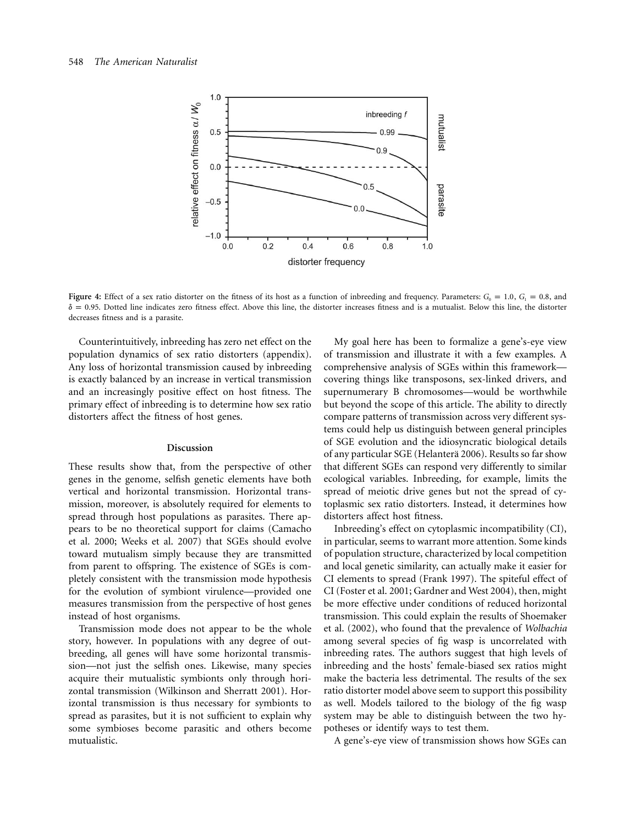

**Figure 4:** Effect of a sex ratio distorter on the fitness of its host as a function of inbreeding and frequency. Parameters:  $G_0 = 1.0$ ,  $G_1 = 0.8$ , and  $\delta$  = 0.95. Dotted line indicates zero fitness effect. Above this line, the distorter increases fitness and is a mutualist. Below this line, the distorter decreases fitness and is a parasite.

Counterintuitively, inbreeding has zero net effect on the population dynamics of sex ratio distorters (appendix). Any loss of horizontal transmission caused by inbreeding is exactly balanced by an increase in vertical transmission and an increasingly positive effect on host fitness. The primary effect of inbreeding is to determine how sex ratio distorters affect the fitness of host genes.

#### **Discussion**

These results show that, from the perspective of other genes in the genome, selfish genetic elements have both vertical and horizontal transmission. Horizontal transmission, moreover, is absolutely required for elements to spread through host populations as parasites. There appears to be no theoretical support for claims (Camacho et al. 2000; Weeks et al. 2007) that SGEs should evolve toward mutualism simply because they are transmitted from parent to offspring. The existence of SGEs is completely consistent with the transmission mode hypothesis for the evolution of symbiont virulence—provided one measures transmission from the perspective of host genes instead of host organisms.

Transmission mode does not appear to be the whole story, however. In populations with any degree of outbreeding, all genes will have some horizontal transmission—not just the selfish ones. Likewise, many species acquire their mutualistic symbionts only through horizontal transmission (Wilkinson and Sherratt 2001). Horizontal transmission is thus necessary for symbionts to spread as parasites, but it is not sufficient to explain why some symbioses become parasitic and others become mutualistic.

My goal here has been to formalize a gene's-eye view of transmission and illustrate it with a few examples. A comprehensive analysis of SGEs within this framework covering things like transposons, sex-linked drivers, and supernumerary B chromosomes—would be worthwhile but beyond the scope of this article. The ability to directly compare patterns of transmission across very different systems could help us distinguish between general principles of SGE evolution and the idiosyncratic biological details of any particular SGE (Helanterä 2006). Results so far show that different SGEs can respond very differently to similar ecological variables. Inbreeding, for example, limits the spread of meiotic drive genes but not the spread of cytoplasmic sex ratio distorters. Instead, it determines how distorters affect host fitness.

Inbreeding's effect on cytoplasmic incompatibility (CI), in particular, seems to warrant more attention. Some kinds of population structure, characterized by local competition and local genetic similarity, can actually make it easier for CI elements to spread (Frank 1997). The spiteful effect of CI (Foster et al. 2001; Gardner and West 2004), then, might be more effective under conditions of reduced horizontal transmission. This could explain the results of Shoemaker et al. (2002), who found that the prevalence of *Wolbachia* among several species of fig wasp is uncorrelated with inbreeding rates. The authors suggest that high levels of inbreeding and the hosts' female-biased sex ratios might make the bacteria less detrimental. The results of the sex ratio distorter model above seem to support this possibility as well. Models tailored to the biology of the fig wasp system may be able to distinguish between the two hypotheses or identify ways to test them.

A gene's-eye view of transmission shows how SGEs can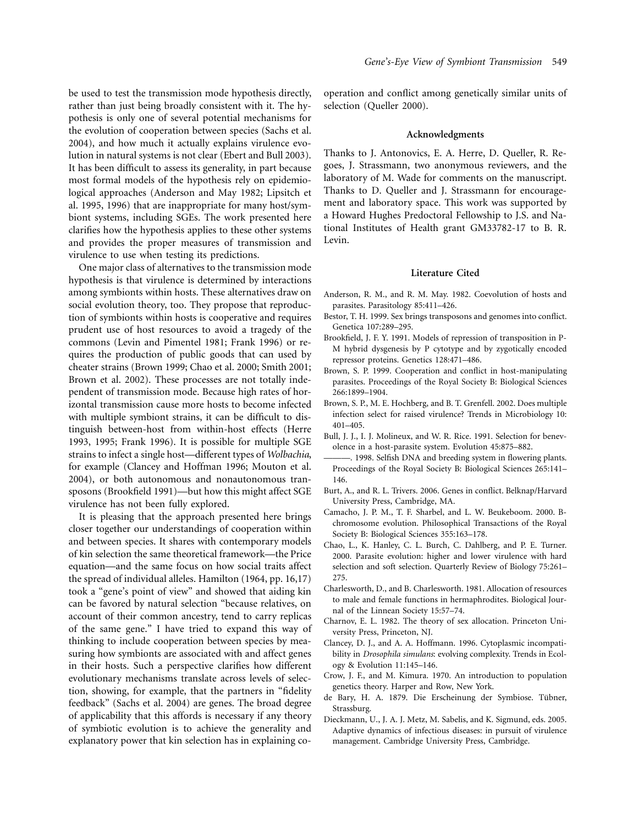be used to test the transmission mode hypothesis directly, rather than just being broadly consistent with it. The hypothesis is only one of several potential mechanisms for the evolution of cooperation between species (Sachs et al. 2004), and how much it actually explains virulence evolution in natural systems is not clear (Ebert and Bull 2003). It has been difficult to assess its generality, in part because most formal models of the hypothesis rely on epidemiological approaches (Anderson and May 1982; Lipsitch et al. 1995, 1996) that are inappropriate for many host/symbiont systems, including SGEs. The work presented here clarifies how the hypothesis applies to these other systems and provides the proper measures of transmission and virulence to use when testing its predictions.

One major class of alternatives to the transmission mode hypothesis is that virulence is determined by interactions among symbionts within hosts. These alternatives draw on social evolution theory, too. They propose that reproduction of symbionts within hosts is cooperative and requires prudent use of host resources to avoid a tragedy of the commons (Levin and Pimentel 1981; Frank 1996) or requires the production of public goods that can used by cheater strains (Brown 1999; Chao et al. 2000; Smith 2001; Brown et al. 2002). These processes are not totally independent of transmission mode. Because high rates of horizontal transmission cause more hosts to become infected with multiple symbiont strains, it can be difficult to distinguish between-host from within-host effects (Herre 1993, 1995; Frank 1996). It is possible for multiple SGE strains to infect a single host—different types of *Wolbachia*, for example (Clancey and Hoffman 1996; Mouton et al. 2004), or both autonomous and nonautonomous transposons (Brookfield 1991)—but how this might affect SGE virulence has not been fully explored.

It is pleasing that the approach presented here brings closer together our understandings of cooperation within and between species. It shares with contemporary models of kin selection the same theoretical framework—the Price equation—and the same focus on how social traits affect the spread of individual alleles. Hamilton (1964, pp. 16,17) took a "gene's point of view" and showed that aiding kin can be favored by natural selection "because relatives, on account of their common ancestry, tend to carry replicas of the same gene." I have tried to expand this way of thinking to include cooperation between species by measuring how symbionts are associated with and affect genes in their hosts. Such a perspective clarifies how different evolutionary mechanisms translate across levels of selection, showing, for example, that the partners in "fidelity feedback" (Sachs et al. 2004) are genes. The broad degree of applicability that this affords is necessary if any theory of symbiotic evolution is to achieve the generality and explanatory power that kin selection has in explaining cooperation and conflict among genetically similar units of selection (Queller 2000).

#### **Acknowledgments**

Thanks to J. Antonovics, E. A. Herre, D. Queller, R. Regoes, J. Strassmann, two anonymous reviewers, and the laboratory of M. Wade for comments on the manuscript. Thanks to D. Queller and J. Strassmann for encouragement and laboratory space. This work was supported by a Howard Hughes Predoctoral Fellowship to J.S. and National Institutes of Health grant GM33782-17 to B. R. Levin.

#### **Literature Cited**

- Anderson, R. M., and R. M. May. 1982. Coevolution of hosts and parasites. Parasitology 85:411–426.
- Bestor, T. H. 1999. Sex brings transposons and genomes into conflict. Genetica 107:289–295.
- Brookfield, J. F. Y. 1991. Models of repression of transposition in P-M hybrid dysgenesis by P cytotype and by zygotically encoded repressor proteins. Genetics 128:471–486.
- Brown, S. P. 1999. Cooperation and conflict in host-manipulating parasites. Proceedings of the Royal Society B: Biological Sciences 266:1899–1904.
- Brown, S. P., M. E. Hochberg, and B. T. Grenfell. 2002. Does multiple infection select for raised virulence? Trends in Microbiology 10: 401–405.
- Bull, J. J., I. J. Molineux, and W. R. Rice. 1991. Selection for benevolence in a host-parasite system. Evolution 45:875–882.
- -. 1998. Selfish DNA and breeding system in flowering plants. Proceedings of the Royal Society B: Biological Sciences 265:141– 146.
- Burt, A., and R. L. Trivers. 2006. Genes in conflict. Belknap/Harvard University Press, Cambridge, MA.
- Camacho, J. P. M., T. F. Sharbel, and L. W. Beukeboom. 2000. Bchromosome evolution. Philosophical Transactions of the Royal Society B: Biological Sciences 355:163–178.
- Chao, L., K. Hanley, C. L. Burch, C. Dahlberg, and P. E. Turner. 2000. Parasite evolution: higher and lower virulence with hard selection and soft selection. Quarterly Review of Biology 75:261– 275.
- Charlesworth, D., and B. Charlesworth. 1981. Allocation of resources to male and female functions in hermaphrodites. Biological Journal of the Linnean Society 15:57–74.
- Charnov, E. L. 1982. The theory of sex allocation. Princeton University Press, Princeton, NJ.
- Clancey, D. J., and A. A. Hoffmann. 1996. Cytoplasmic incompatibility in *Drosophila simulans*: evolving complexity. Trends in Ecology & Evolution 11:145–146.
- Crow, J. F., and M. Kimura. 1970. An introduction to population genetics theory. Harper and Row, New York.
- de Bary, H. A. 1879. Die Erscheinung der Symbiose. Tübner, Strassburg.
- Dieckmann, U., J. A. J. Metz, M. Sabelis, and K. Sigmund, eds. 2005. Adaptive dynamics of infectious diseases: in pursuit of virulence management. Cambridge University Press, Cambridge.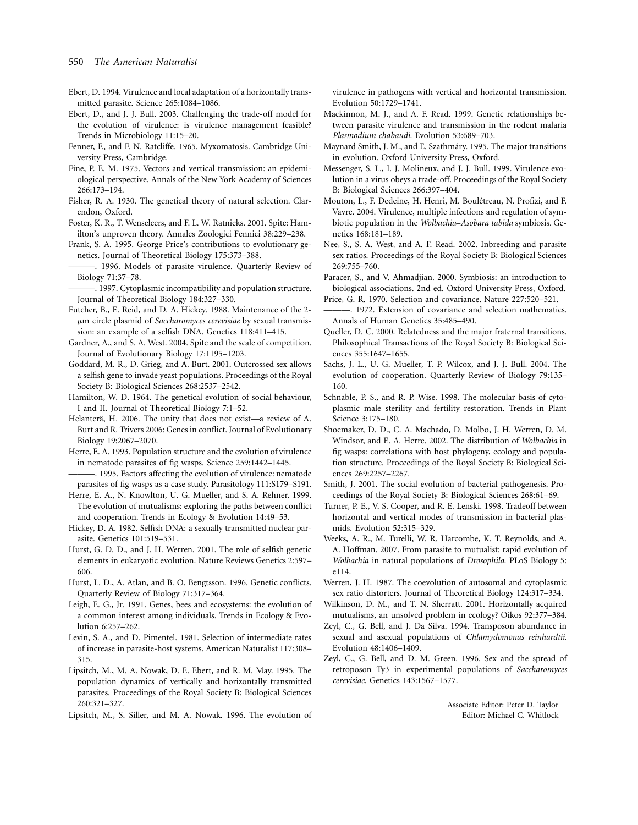#### 550 *The American Naturalist*

- Ebert, D. 1994. Virulence and local adaptation of a horizontally transmitted parasite. Science 265:1084–1086.
- Ebert, D., and J. J. Bull. 2003. Challenging the trade-off model for the evolution of virulence: is virulence management feasible? Trends in Microbiology 11:15–20.
- Fenner, F., and F. N. Ratcliffe. 1965. Myxomatosis. Cambridge University Press, Cambridge.
- Fine, P. E. M. 1975. Vectors and vertical transmission: an epidemiological perspective. Annals of the New York Academy of Sciences 266:173–194.
- Fisher, R. A. 1930. The genetical theory of natural selection. Clarendon, Oxford.
- Foster, K. R., T. Wenseleers, and F. L. W. Ratnieks. 2001. Spite: Hamilton's unproven theory. Annales Zoologici Fennici 38:229–238.
- Frank, S. A. 1995. George Price's contributions to evolutionary genetics. Journal of Theoretical Biology 175:373–388.
- ———. 1996. Models of parasite virulence. Quarterly Review of Biology 71:37–78.
- ———. 1997. Cytoplasmic incompatibility and population structure. Journal of Theoretical Biology 184:327–330.
- Futcher, B., E. Reid, and D. A. Hickey. 1988. Maintenance of the 2-  $\mu$ m circle plasmid of *Saccharomyces cerevisiae* by sexual transmission: an example of a selfish DNA. Genetics 118:411–415.
- Gardner, A., and S. A. West. 2004. Spite and the scale of competition. Journal of Evolutionary Biology 17:1195–1203.
- Goddard, M. R., D. Grieg, and A. Burt. 2001. Outcrossed sex allows a selfish gene to invade yeast populations. Proceedings of the Royal Society B: Biological Sciences 268:2537–2542.
- Hamilton, W. D. 1964. The genetical evolution of social behaviour, I and II. Journal of Theoretical Biology 7:1–52.
- Helanterä, H. 2006. The unity that does not exist—a review of A. Burt and R. Trivers 2006: Genes in conflict. Journal of Evolutionary Biology 19:2067–2070.
- Herre, E. A. 1993. Population structure and the evolution of virulence in nematode parasites of fig wasps. Science 259:1442–1445.
- -. 1995. Factors affecting the evolution of virulence: nematode parasites of fig wasps as a case study. Parasitology 111:S179–S191.
- Herre, E. A., N. Knowlton, U. G. Mueller, and S. A. Rehner. 1999. The evolution of mutualisms: exploring the paths between conflict and cooperation. Trends in Ecology & Evolution 14:49–53.
- Hickey, D. A. 1982. Selfish DNA: a sexually transmitted nuclear parasite. Genetics 101:519–531.
- Hurst, G. D. D., and J. H. Werren. 2001. The role of selfish genetic elements in eukaryotic evolution. Nature Reviews Genetics 2:597– 606.
- Hurst, L. D., A. Atlan, and B. O. Bengtsson. 1996. Genetic conflicts. Quarterly Review of Biology 71:317–364.
- Leigh, E. G., Jr. 1991. Genes, bees and ecosystems: the evolution of a common interest among individuals. Trends in Ecology & Evolution 6:257–262.
- Levin, S. A., and D. Pimentel. 1981. Selection of intermediate rates of increase in parasite-host systems. American Naturalist 117:308– 315.
- Lipsitch, M., M. A. Nowak, D. E. Ebert, and R. M. May. 1995. The population dynamics of vertically and horizontally transmitted parasites. Proceedings of the Royal Society B: Biological Sciences 260:321–327.
- Lipsitch, M., S. Siller, and M. A. Nowak. 1996. The evolution of

virulence in pathogens with vertical and horizontal transmission. Evolution 50:1729–1741.

- Mackinnon, M. J., and A. F. Read. 1999. Genetic relationships between parasite virulence and transmission in the rodent malaria *Plasmodium chabaudi*. Evolution 53:689–703.
- Maynard Smith, J. M., and E. Szathmáry. 1995. The major transitions in evolution. Oxford University Press, Oxford.
- Messenger, S. L., I. J. Molineux, and J. J. Bull. 1999. Virulence evolution in a virus obeys a trade-off. Proceedings of the Royal Society B: Biological Sciences 266:397–404.
- Mouton, L., F. Dedeine, H. Henri, M. Boulétreau, N. Profizi, and F. Vavre. 2004. Virulence, multiple infections and regulation of symbiotic population in the *Wolbachia*–*Asobara tabida* symbiosis. Genetics 168:181–189.
- Nee, S., S. A. West, and A. F. Read. 2002. Inbreeding and parasite sex ratios. Proceedings of the Royal Society B: Biological Sciences 269:755–760.
- Paracer, S., and V. Ahmadjian. 2000. Symbiosis: an introduction to biological associations. 2nd ed. Oxford University Press, Oxford.
- Price, G. R. 1970. Selection and covariance. Nature 227:520–521.
- -. 1972. Extension of covariance and selection mathematics. Annals of Human Genetics 35:485–490.
- Queller, D. C. 2000. Relatedness and the major fraternal transitions. Philosophical Transactions of the Royal Society B: Biological Sciences 355:1647–1655.
- Sachs, J. L., U. G. Mueller, T. P. Wilcox, and J. J. Bull. 2004. The evolution of cooperation. Quarterly Review of Biology 79:135– 160.
- Schnable, P. S., and R. P. Wise. 1998. The molecular basis of cytoplasmic male sterility and fertility restoration. Trends in Plant Science 3:175–180.
- Shoemaker, D. D., C. A. Machado, D. Molbo, J. H. Werren, D. M. Windsor, and E. A. Herre. 2002. The distribution of *Wolbachia* in fig wasps: correlations with host phylogeny, ecology and population structure. Proceedings of the Royal Society B: Biological Sciences 269:2257–2267.
- Smith, J. 2001. The social evolution of bacterial pathogenesis. Proceedings of the Royal Society B: Biological Sciences 268:61–69.
- Turner, P. E., V. S. Cooper, and R. E. Lenski. 1998. Tradeoff between horizontal and vertical modes of transmission in bacterial plasmids. Evolution 52:315–329.
- Weeks, A. R., M. Turelli, W. R. Harcombe, K. T. Reynolds, and A. A. Hoffman. 2007. From parasite to mutualist: rapid evolution of *Wolbachia* in natural populations of *Drosophila*. PLoS Biology 5: e114.
- Werren, J. H. 1987. The coevolution of autosomal and cytoplasmic sex ratio distorters. Journal of Theoretical Biology 124:317–334.
- Wilkinson, D. M., and T. N. Sherratt. 2001. Horizontally acquired mutualisms, an unsolved problem in ecology? Oikos 92:377–384.
- Zeyl, C., G. Bell, and J. Da Silva. 1994. Transposon abundance in sexual and asexual populations of *Chlamydomonas reinhardtii*. Evolution 48:1406–1409.
- Zeyl, C., G. Bell, and D. M. Green. 1996. Sex and the spread of retroposon Ty3 in experimental populations of *Saccharomyces cerevisiae*. Genetics 143:1567–1577.

Associate Editor: Peter D. Taylor Editor: Michael C. Whitlock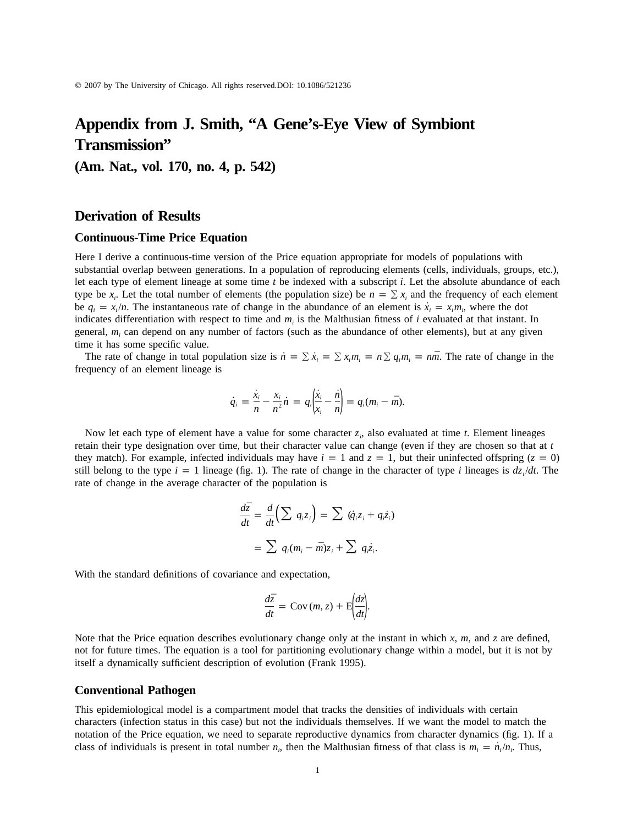**(Am. Nat., vol. 170, no. 4, p. 542)**

## **Derivation of Results**

## **Continuous-Time Price Equation**

Here I derive a continuous-time version of the Price equation appropriate for models of populations with substantial overlap between generations. In a population of reproducing elements (cells, individuals, groups, etc.), let each type of element lineage at some time *t* be indexed with a subscript *i*. Let the absolute abundance of each type be  $x_i$ . Let the total number of elements (the population size) be  $n = \sum x_i$  and the frequency of each element be  $q_i = x_i/n$ . The instantaneous rate of change in the abundance of an element is  $\dot{x}_i = x_i m_i$ , where the dot indicates differentiation with respect to time and  $m<sub>i</sub>$  is the Malthusian fitness of *i* evaluated at that instant. In general,  $m_i$  can depend on any number of factors (such as the abundance of other elements), but at any given time it has some specific value.

The rate of change in total population size is  $\dot{n} = \sum \dot{x}_i = \sum x_i m_i = n \sum q_i m_i = n \bar{m}$ . The rate of change in the frequency of an element lineage is

$$
\dot{q}_i = \frac{\dot{x}_i}{n} - \frac{x_i}{n^2} \dot{n} = q_i \left| \frac{\dot{x}_i}{x_i} - \frac{\dot{n}}{n} \right| = q_i (m_i - \bar{m}).
$$

Now let each type of element have a value for some character  $z_i$ , also evaluated at time *t*. Element lineages retain their type designation over time, but their character value can change (even if they are chosen so that at *t* they match). For example, infected individuals may have  $i = 1$  and  $z = 1$ , but their uninfected offspring ( $z = 0$ ) still belong to the type  $i = 1$  lineage (fig. 1). The rate of change in the character of type *i* lineages is  $dz_i/dt$ . The rate of change in the average character of the population is

$$
\frac{d\bar{z}}{dt} = \frac{d}{dt} \Big( \sum q_i z_i \Big) = \sum \left( \dot{q}_i z_i + q_i \dot{z}_i \right)
$$

$$
= \sum q_i (m_i - \bar{m}) z_i + \sum q_i \dot{z}_i.
$$

With the standard definitions of covariance and expectation,

$$
\frac{d\bar{z}}{dt} = \text{Cov}(m, z) + \text{E}\left(\frac{dz}{dt}\right).
$$

Note that the Price equation describes evolutionary change only at the instant in which *x*, *m*, and *z* are defined, not for future times. The equation is a tool for partitioning evolutionary change within a model, but it is not by itself a dynamically sufficient description of evolution (Frank 1995).

### **Conventional Pathogen**

This epidemiological model is a compartment model that tracks the densities of individuals with certain characters (infection status in this case) but not the individuals themselves. If we want the model to match the notation of the Price equation, we need to separate reproductive dynamics from character dynamics (fig. 1). If a class of individuals is present in total number  $n_i$ , then the Malthusian fitness of that class is  $m_i = \dot{n}_i/n_i$ . Thus,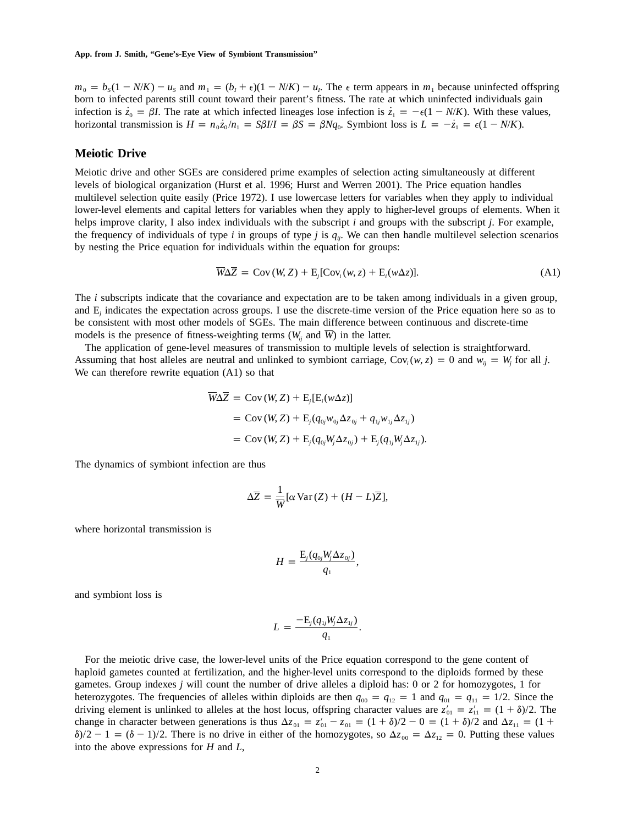$m_0 = b_S(1 - N/K) - u_s$  and  $m_1 = (b_I + \epsilon)(1 - N/K) - u_I$ . The  $\epsilon$  term appears in  $m_1$  because uninfected offspring born to infected parents still count toward their parent's fitness. The rate at which uninfected individuals gain infection is  $\dot{z}_0 = \beta I$ . The rate at which infected lineages lose infection is  $\dot{z}_1 = -\epsilon (1 - N/K)$ . With these values, horizontal transmission is  $H = n_0 \dot{z}_0 / n_1 = S\beta I / I = \beta S = \beta N q_0$ . Symbiont loss is  $L = -\dot{z}_1 = \epsilon (1 - N/K)$ .

## **Meiotic Drive**

Meiotic drive and other SGEs are considered prime examples of selection acting simultaneously at different levels of biological organization (Hurst et al. 1996; Hurst and Werren 2001). The Price equation handles multilevel selection quite easily (Price 1972). I use lowercase letters for variables when they apply to individual lower-level elements and capital letters for variables when they apply to higher-level groups of elements. When it helps improve clarity, I also index individuals with the subscript *i* and groups with the subscript *j*. For example, the frequency of individuals of type  $i$  in groups of type  $j$  is  $q_{ij}$ . We can then handle multilevel selection scenarios by nesting the Price equation for individuals within the equation for groups:

$$
\overline{W}\Delta\overline{Z} = \text{Cov}(W, Z) + \mathcal{E}_j[\text{Cov}_i(w, z) + \mathcal{E}_i(w\Delta z)].
$$
\n(A1)

The *i* subscripts indicate that the covariance and expectation are to be taken among individuals in a given group, and  $E<sub>i</sub>$  indicates the expectation across groups. I use the discrete-time version of the Price equation here so as to be consistent with most other models of SGEs. The main difference between continuous and discrete-time models is the presence of fitness-weighting terms ( $W_{ii}$  and  $\overline{W}$ ) in the latter.

The application of gene-level measures of transmission to multiple levels of selection is straightforward. Assuming that host alleles are neutral and unlinked to symbiont carriage,  $\text{Cov}_i(w, z) = 0$  and  $w_{ii} = W_i$  for all *j*. We can therefore rewrite equation (A1) so that

$$
\overline{W}\Delta \overline{Z} = \text{Cov}(W, Z) + \text{E}_{j}[\text{E}_{i}(w\Delta z)]
$$
  
= Cov(W, Z) + \text{E}\_{j}(q\_{0j}w\_{0j}\Delta z\_{0j} + q\_{1j}w\_{1j}\Delta z\_{1j})  
= Cov(W, Z) + \text{E}\_{j}(q\_{0j}W\_{j}\Delta z\_{0j}) + \text{E}\_{j}(q\_{1j}W\_{j}\Delta z\_{1j}).

The dynamics of symbiont infection are thus

$$
\Delta \overline{Z} = \frac{1}{\overline{W}} [\alpha \text{Var}(Z) + (H - L)\overline{Z}],
$$

where horizontal transmission is

$$
H=\frac{\mathrm{E}_j(q_{0j}W_j\Delta z_{0j})}{q_1},
$$

and symbiont loss is

$$
L=\frac{-\mathrm{E}_j(q_{1j}W_j\Delta z_{1j})}{q_1}.
$$

For the meiotic drive case, the lower-level units of the Price equation correspond to the gene content of haploid gametes counted at fertilization, and the higher-level units correspond to the diploids formed by these gametes. Group indexes *j* will count the number of drive alleles a diploid has: 0 or 2 for homozygotes, 1 for heterozygotes. The frequencies of alleles within diploids are then  $q_{00} = q_{12} = 1$  and  $q_{01} = q_{11} = 1/2$ . Since the driving element is unlinked to alleles at the host locus, offspring character values are  $z'_{01} = z'_{11} = (1 + \delta)/2$ . The change in character between generations is thus  $\Delta z_{01} = z'_{01} - z_{01} = (1 + \delta)/2 - 0 = (1 + \delta)/2$  and  $\Delta z_{11} = (1 + \delta)/2$  $\delta/2 - 1 = (\delta - 1)/2$ . There is no drive in either of the homozygotes, so  $\Delta z_{00} = \Delta z_{12} = 0$ . Putting these values into the above expressions for *H* and *L*,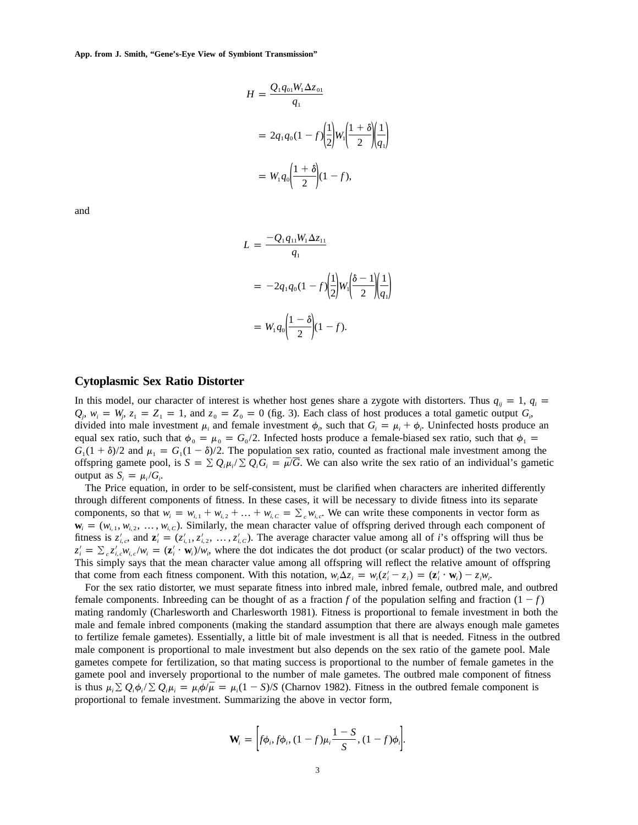$$
H = \frac{Q_1 q_{01} W_1 \Delta z_{01}}{q_1}
$$
  
=  $2q_1 q_0 (1 - f) \left(\frac{1}{2}\right) W_1 \left(\frac{1 + \delta}{2}\right) \left(\frac{1}{q_1}\right)$   
=  $W_1 q_0 \left(\frac{1 + \delta}{2}\right) (1 - f),$ 

and

$$
L = \frac{-Q_1 q_{11} W_1 \Delta z_{11}}{q_1}
$$
  
=  $-2q_1 q_0 (1 - f) \left(\frac{1}{2}\right) W_1 \left(\frac{\delta - 1}{2}\right) \left(\frac{1}{q_1}\right)$   
=  $W_1 q_0 \left(\frac{1 - \delta}{2}\right) (1 - f).$ 

## **Cytoplasmic Sex Ratio Distorter**

In this model, our character of interest is whether host genes share a zygote with distorters. Thus  $q_{ij} = 1$ ,  $q_i = 1$  $Q_i$ ,  $w_i = W_i$ ,  $z_1 = Z_1 = 1$ , and  $z_0 = Z_0 = 0$  (fig. 3). Each class of host produces a total gametic output  $G_i$ , divided into male investment  $\mu_i$  and female investment  $\phi_i$ , such that  $G_i = \mu_i + \phi_i$ . Uninfected hosts produce an equal sex ratio, such that  $\phi_0 = \mu_0 = G_0/2$ . Infected hosts produce a female-biased sex ratio, such that  $\phi_1$  $G_1(1 + \delta)/2$  and  $\mu_1 = G_1(1 - \delta)/2$ . The population sex ratio, counted as fractional male investment among the offspring gamete pool, is  $S = \sum Q_i \mu_i / \sum Q_i G_i = \bar{\mu}/\overline{G}$ . We can also write the sex ratio of an individual's gametic output as  $S_i = \mu_i / G_i$ .

The Price equation, in order to be self-consistent, must be clarified when characters are inherited differently through different components of fitness. In these cases, it will be necessary to divide fitness into its separate components, so that  $w_i = w_{i,1} + w_{i,2} + ... + w_{i,C} = \sum_c w_{i,c}$ . We can write these components in vector form as  $\mathbf{w}_i = (w_{i,1}, w_{i,2}, \dots, w_{i,C})$ . Similarly, the mean character value of offspring derived through each component of fitness is  $z'_{i,c}$ , and  $z'_{i} = (z'_{i,1}, z'_{i,2}, \ldots, z'_{i,c})$ . The average character value among all of *i*'s offspring will thus be  $z'_i = \sum_{c} z'_{i,c} w_{i,c}/w_i = (\mathbf{z}'_i \cdot \mathbf{w}_i)/w_i$ , where the dot indicates the dot product (or scalar product) of the two vectors. This simply says that the mean character value among all offspring will reflect the relative amount of offspring that come from each fitness component. With this notation,  $w_i \Delta z_i = w_i (z_i' - z_i) = (\mathbf{z}_i' \cdot \mathbf{w}_i) - z_i w_i$ .

For the sex ratio distorter, we must separate fitness into inbred male, inbred female, outbred male, and outbred female components. Inbreeding can be thought of as a fraction *f* of the population selfing and fraction  $(1 - f)$ mating randomly (Charlesworth and Charlesworth 1981). Fitness is proportional to female investment in both the male and female inbred components (making the standard assumption that there are always enough male gametes to fertilize female gametes). Essentially, a little bit of male investment is all that is needed. Fitness in the outbred male component is proportional to male investment but also depends on the sex ratio of the gamete pool. Male gametes compete for fertilization, so that mating success is proportional to the number of female gametes in the gamete pool and inversely proportional to the number of male gametes. The outbred male component of fitness is thus  $\mu_i \Sigma Q_i \phi_i / \Sigma Q_i \mu_i = \mu_i \phi / \overline{\mu} = \mu_i (1 - S) / S$  (Charnov 1982). Fitness in the outbred female component is proportional to female investment. Summarizing the above in vector form,

$$
\mathbf{W}_i = \left[ f\phi_i, f\phi_i, (1-f)\mu_i \frac{1-S}{S}, (1-f)\phi_i \right].
$$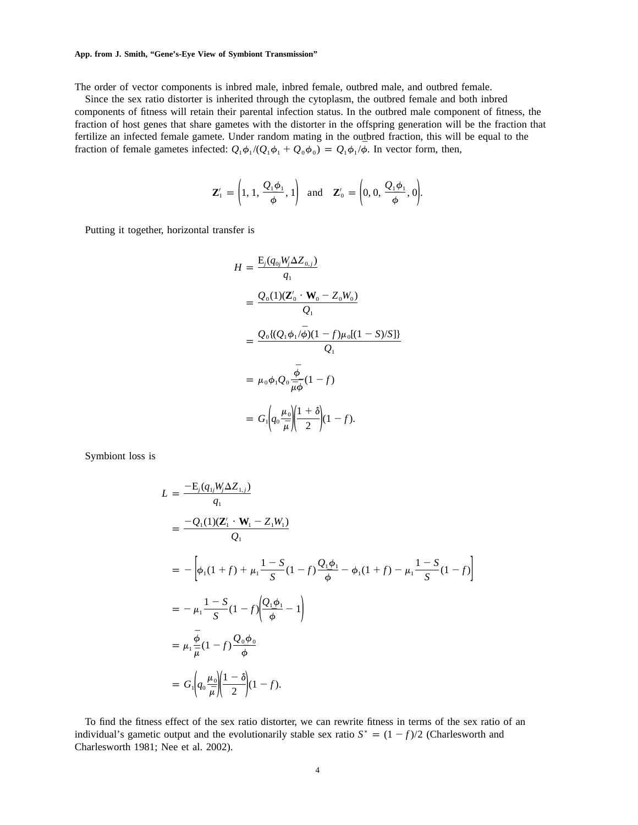The order of vector components is inbred male, inbred female, outbred male, and outbred female.

Since the sex ratio distorter is inherited through the cytoplasm, the outbred female and both inbred components of fitness will retain their parental infection status. In the outbred male component of fitness, the fraction of host genes that share gametes with the distorter in the offspring generation will be the fraction that fertilize an infected female gamete. Under random mating in the outbred fraction, this will be equal to the fraction of female gametes infected:  $Q_1 \phi_1 / (Q_1 \phi_1 + Q_0 \phi_0) = Q_1 \phi_1 / \bar{\phi}$ . In vector form, then,

$$
\mathbf{Z}'_1 = \left(1, 1, \frac{Q_1 \phi_1}{\overline{\phi}}, 1\right) \text{ and } \mathbf{Z}'_0 = \left(0, 0, \frac{Q_1 \phi_1}{\overline{\phi}}, 0\right).
$$

Putting it together, horizontal transfer is

$$
H = \frac{E_j(q_{0j}W_j\Delta Z_{0,j})}{q_1}
$$
  
= 
$$
\frac{Q_0(1)(\mathbf{Z}'_0 \cdot \mathbf{W}_0 - Z_0W_0)}{Q_1}
$$
  
= 
$$
\frac{Q_0\{(Q_1\phi_1/\overline{\phi})(1-f)\mu_0[(1-S)/S]\}}{Q_1}
$$
  
= 
$$
\mu_0\phi_1Q_0\frac{\overline{\phi}}{\overline{\mu}\overline{\phi}}(1-f)
$$
  
= 
$$
G_1\left(q_0\frac{\mu_0}{\overline{\mu}}\right)\left(\frac{1+\delta}{2}\right)(1-f).
$$

Symbiont loss is

$$
L = \frac{-E_j(q_{1j}W_j\Delta Z_{1,j})}{q_1}
$$
  
=  $\frac{-Q_1(1)(Z'_1 \cdot W_1 - Z_1W_1)}{Q_1}$   
=  $-\left[\phi_1(1+f) + \mu_1 \frac{1-S}{S}(1-f)\frac{Q_1\phi_1}{\bar{\phi}} - \phi_1(1+f) - \mu_1 \frac{1-S}{S}(1-f)\right]$   
=  $-\mu_1 \frac{1-S}{S}(1-f)\left(\frac{Q_1\phi_1}{\bar{\phi}} - 1\right)$   
=  $\mu_1 \frac{\bar{\phi}}{\bar{\mu}}(1-f)\frac{Q_0\phi_0}{\bar{\phi}}$   
=  $G_1\left(q_0 \frac{\mu_0}{\bar{\mu}}\right)\left(\frac{1-\delta}{2}\right)(1-f).$ 

To find the fitness effect of the sex ratio distorter, we can rewrite fitness in terms of the sex ratio of an individual's gametic output and the evolutionarily stable sex ratio  $S^* = (1 - f)/2$  (Charlesworth and Charlesworth 1981; Nee et al. 2002).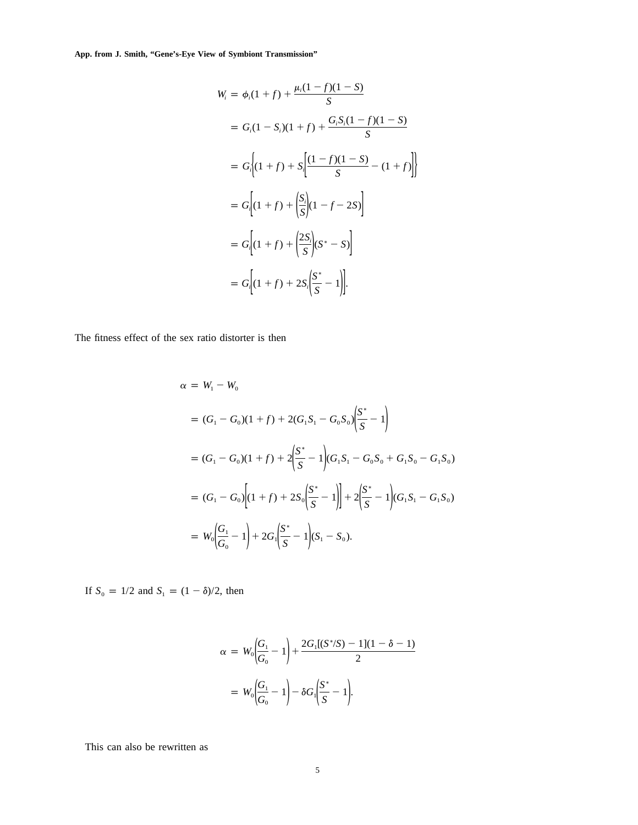$$
W_i = \phi_i(1+f) + \frac{\mu_i(1-f)(1-S)}{S}
$$
  
=  $G_i(1-S_i)(1+f) + \frac{G_i S_i(1-f)(1-S)}{S}$   
=  $G_i \Big[ (1+f) + S_i \Big[ \frac{(1-f)(1-S)}{S} - (1+f) \Big] \Big]$   
=  $G_i \Big[ (1+f) + \Big( \frac{S_i}{S} \Big) (1-f-2S) \Big]$   
=  $G_i \Big[ (1+f) + \Big( \frac{2S_i}{S} \Big) (S^* - S) \Big]$   
=  $G_i \Big[ (1+f) + 2S_i \Big( \frac{S^*}{S} - 1 \Big) \Big].$ 

The fitness effect of the sex ratio distorter is then

$$
\alpha = W_1 - W_0
$$
  
=  $(G_1 - G_0)(1 + f) + 2(G_1S_1 - G_0S_0)\left(\frac{S^*}{S} - 1\right)$   
=  $(G_1 - G_0)(1 + f) + 2\left(\frac{S^*}{S} - 1\right)(G_1S_1 - G_0S_0 + G_1S_0 - G_1S_0)$   
=  $(G_1 - G_0)\left[(1 + f) + 2S_0\left(\frac{S^*}{S} - 1\right)\right] + 2\left(\frac{S^*}{S} - 1\right)(G_1S_1 - G_1S_0)$   
=  $W_0\left(\frac{G_1}{G_0} - 1\right) + 2G_1\left(\frac{S^*}{S} - 1\right)(S_1 - S_0).$ 

If  $S_0 = 1/2$  and  $S_1 = (1 - \delta)/2$ , then

$$
\alpha = W_0 \bigg( \frac{G_1}{G_0} - 1 \bigg) + \frac{2G_1[(S^*/S) - 1](1 - \delta - 1)}{2}
$$
  
=  $W_0 \bigg( \frac{G_1}{G_0} - 1 \bigg) - \delta G_1 \bigg( \frac{S^*}{S} - 1 \bigg).$ 

This can also be rewritten as